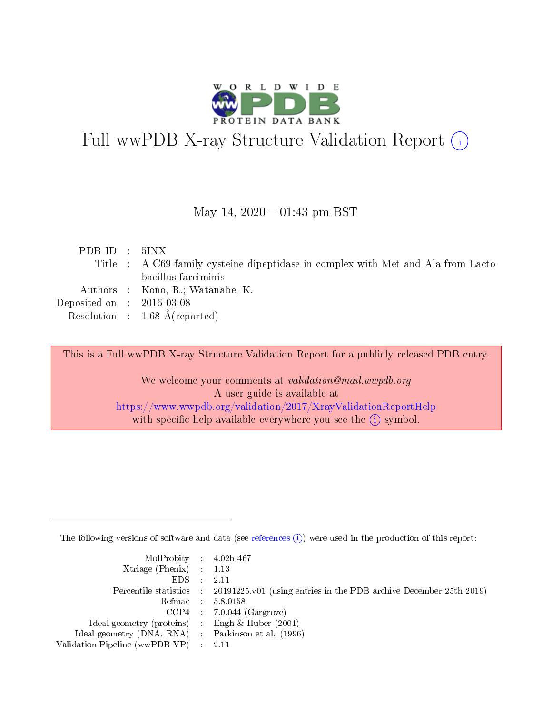

# Full wwPDB X-ray Structure Validation Report (i)

#### May 14,  $2020 - 01:43$  pm BST

| PDBID : 5INX                         |                                                                                   |
|--------------------------------------|-----------------------------------------------------------------------------------|
|                                      | Title : A C69-family cysteine dipeptidase in complex with Met and Ala from Lacto- |
|                                      | bacillus farciminis                                                               |
|                                      | Authors : Kono, R.; Watanabe, K.                                                  |
| Deposited on $\therefore$ 2016-03-08 |                                                                                   |
|                                      | Resolution : $1.68 \text{ Å}$ (reported)                                          |

This is a Full wwPDB X-ray Structure Validation Report for a publicly released PDB entry.

We welcome your comments at validation@mail.wwpdb.org A user guide is available at <https://www.wwpdb.org/validation/2017/XrayValidationReportHelp> with specific help available everywhere you see the  $(i)$  symbol.

The following versions of software and data (see [references](https://www.wwpdb.org/validation/2017/XrayValidationReportHelp#references)  $(i)$ ) were used in the production of this report:

| MolProbity : 4.02b-467                              |                                                                                                    |
|-----------------------------------------------------|----------------------------------------------------------------------------------------------------|
| Xtriage (Phenix) $: 1.13$                           |                                                                                                    |
| $EDS = 2.11$                                        |                                                                                                    |
|                                                     | Percentile statistics : $20191225 \times 01$ (using entries in the PDB archive December 25th 2019) |
|                                                     | Refmac : 5.8.0158                                                                                  |
|                                                     | $CCP4$ 7.0.044 (Gargrove)                                                                          |
| Ideal geometry (proteins) : Engh $\&$ Huber (2001)  |                                                                                                    |
| Ideal geometry (DNA, RNA) : Parkinson et al. (1996) |                                                                                                    |
| Validation Pipeline (wwPDB-VP) : 2.11               |                                                                                                    |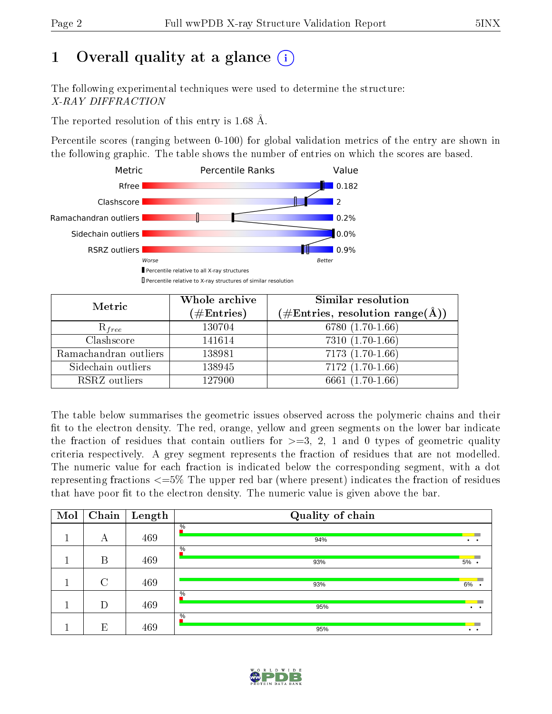# 1 [O](https://www.wwpdb.org/validation/2017/XrayValidationReportHelp#overall_quality)verall quality at a glance  $(i)$

The following experimental techniques were used to determine the structure: X-RAY DIFFRACTION

The reported resolution of this entry is 1.68 Å.

Percentile scores (ranging between 0-100) for global validation metrics of the entry are shown in the following graphic. The table shows the number of entries on which the scores are based.



| Metric                | Whole archive<br>$(\#\text{Entries})$ | Similar resolution<br>$(\#\text{Entries}, \text{resolution range}(\text{\AA}))$ |
|-----------------------|---------------------------------------|---------------------------------------------------------------------------------|
| $R_{free}$            | 130704                                | 6780 (1.70-1.66)                                                                |
| Clashscore            | 141614                                | $7310(1.70-1.66)$                                                               |
| Ramachandran outliers | 138981                                | $7173(1.70-1.66)$                                                               |
| Sidechain outliers    | 138945                                | $7172(1.70-1.66)$                                                               |
| RSRZ outliers         | 127900                                | 6661 (1.70-1.66)                                                                |

The table below summarises the geometric issues observed across the polymeric chains and their fit to the electron density. The red, orange, yellow and green segments on the lower bar indicate the fraction of residues that contain outliers for  $>=3, 2, 1$  and 0 types of geometric quality criteria respectively. A grey segment represents the fraction of residues that are not modelled. The numeric value for each fraction is indicated below the corresponding segment, with a dot representing fractions  $\epsilon=5\%$  The upper red bar (where present) indicates the fraction of residues that have poor fit to the electron density. The numeric value is given above the bar.

| Mol | Chain         | Length | Quality of chain     |                 |
|-----|---------------|--------|----------------------|-----------------|
|     | А             | 469    | $\%$<br>94%          | $\bullet$       |
|     |               |        | $\frac{0}{6}$        |                 |
|     | B             | 469    | 93%                  | 5% .            |
|     | $\mathcal{C}$ | 469    | 93%                  | 6%              |
|     |               |        | $\frac{0}{6}$        |                 |
|     | D             | 469    | 95%                  |                 |
|     | E             | 469    | $\frac{0}{6}$<br>95% | $\cdot$ $\cdot$ |

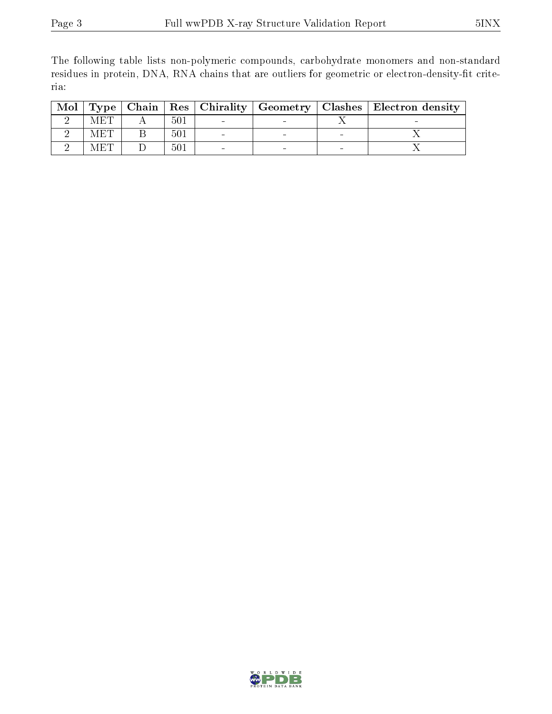The following table lists non-polymeric compounds, carbohydrate monomers and non-standard residues in protein, DNA, RNA chains that are outliers for geometric or electron-density-fit criteria:

| Mol |     |     |  | $\mid$ Type $\mid$ Chain $\mid$ Res $\mid$ Chirality $\mid$ Geometry $\mid$ Clashes $\mid$ Electron density $\mid$ |
|-----|-----|-----|--|--------------------------------------------------------------------------------------------------------------------|
|     |     | 501 |  |                                                                                                                    |
|     | MET | 501 |  |                                                                                                                    |
|     |     | 501 |  |                                                                                                                    |

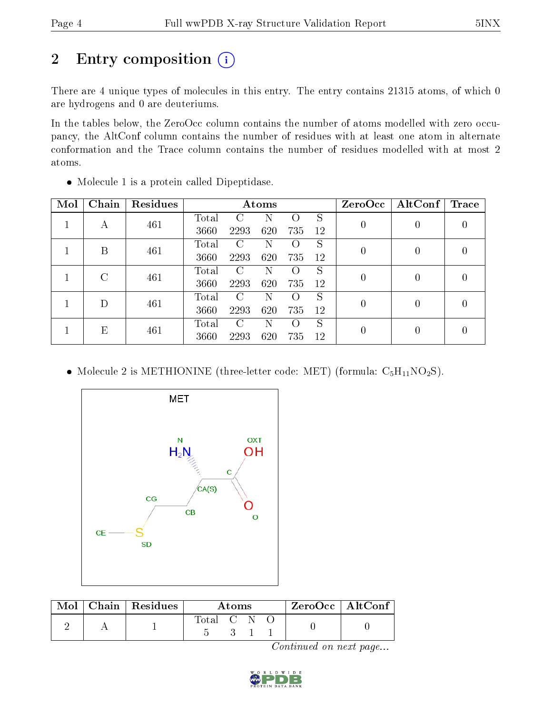# 2 Entry composition (i)

There are 4 unique types of molecules in this entry. The entry contains 21315 atoms, of which 0 are hydrogens and 0 are deuteriums.

In the tables below, the ZeroOcc column contains the number of atoms modelled with zero occupancy, the AltConf column contains the number of residues with at least one atom in alternate conformation and the Trace column contains the number of residues modelled with at most 2 atoms.

| Mol | Chain | <b>Residues</b> | Atoms |      |     |                    |    | ZeroOcc          | AltConf | Trace            |  |
|-----|-------|-----------------|-------|------|-----|--------------------|----|------------------|---------|------------------|--|
|     |       | 461             | Total | C    | N   | $\left( \ \right)$ | S  |                  |         | 0                |  |
|     | А     |                 | 3660  | 2293 | 620 | 735                | 12 | $\boldsymbol{0}$ |         |                  |  |
|     | В     | 461             | Total | C    | N   | $\left( \ \right)$ | S  | $\theta$         |         | $\left( \right)$ |  |
|     |       |                 | 3660  | 2293 | 620 | 735                | 12 |                  |         |                  |  |
|     | C     | 461             | Total | C    | N   | ( )                | S  | $\boldsymbol{0}$ |         | 0                |  |
|     |       |                 | 3660  | 2293 | 620 | 735                | 12 |                  |         |                  |  |
|     | D     | 461             | Total | C    | N   | $\left( \ \right)$ | S  | 0                |         | $\left( \right)$ |  |
|     |       |                 | 3660  | 2293 | 620 | 735                | 12 |                  |         |                  |  |
|     | Е     | 461             | Total | C    | N   | $\left( \right)$   | S  | 0                |         | 0                |  |
|     |       |                 | 3660  | 2293 | 620 | 735                | 12 |                  |         |                  |  |

Molecule 1 is a protein called Dipeptidase.

• Molecule 2 is METHIONINE (three-letter code: MET) (formula:  $C_5H_{11}NO_2S$ ).



| Mol | Chain   Residues | A toms      |  |  | $ZeroOcc$   AltConf |  |
|-----|------------------|-------------|--|--|---------------------|--|
|     |                  | Total C N - |  |  |                     |  |

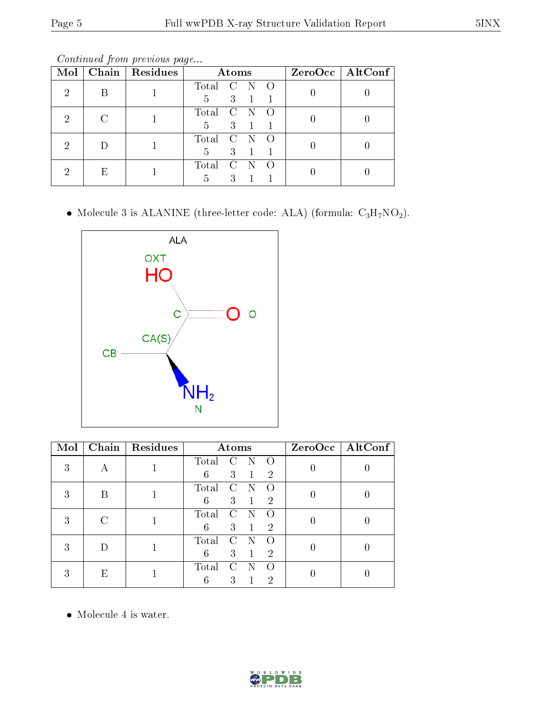Continued from previous page...

| Mol |    | Chain   $Residues$ |       | Atoms         |   |                  | $ZeroOcc \mid AltConf$ |
|-----|----|--------------------|-------|---------------|---|------------------|------------------------|
| 2   |    |                    | Total | $\mathcal{C}$ | N | $\left( \right)$ |                        |
|     |    |                    | 5     | 3             |   |                  |                        |
| 2   |    |                    | Total | $\mathcal{C}$ |   |                  |                        |
|     |    |                    | 5     | 3             |   |                  |                        |
| 2   |    |                    | Total | C             |   |                  |                        |
|     |    |                    | 5     | 3             |   |                  |                        |
| റ   | F, |                    | Total |               |   |                  |                        |
|     |    |                    | 5     | 3             |   |                  |                        |

• Molecule 3 is ALANINE (three-letter code: ALA) (formula:  $C_3H_7NO_2$ ).



| Mol |   | Chain   Residues |       | Atoms             |                | ZeroOcc   AltConf |
|-----|---|------------------|-------|-------------------|----------------|-------------------|
| 3   |   |                  | Total |                   |                |                   |
|     |   |                  | 6     | 3                 | $\overline{2}$ |                   |
| 3   |   |                  | Total |                   |                |                   |
|     |   |                  | 6     | 3                 | $\overline{2}$ |                   |
| 3   |   |                  | Total |                   |                |                   |
|     |   |                  | 6     | 3                 | $\overline{2}$ |                   |
| 3   |   |                  | Total | $\mathcal{C}_{1}$ |                |                   |
|     |   |                  | 6     | 3                 | 2              |                   |
| 3   | Ε |                  | Total |                   |                |                   |
|     |   |                  |       | 3                 | 2              |                   |

• Molecule 4 is water.

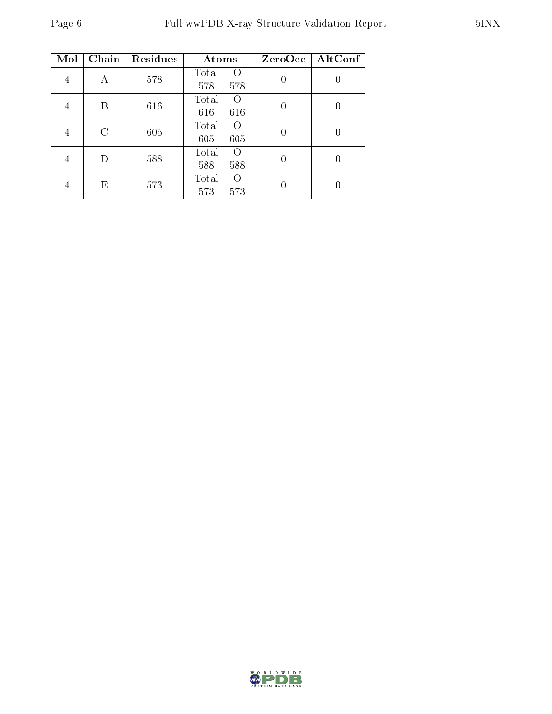| Mol | Chain | Residues | Atoms                                   | $ZeroOcc$   AltConf |
|-----|-------|----------|-----------------------------------------|---------------------|
| 4   | А     | 578      | Total<br>$\left( \right)$<br>578<br>578 |                     |
| 4   | В     | 616      | Total<br>$\Omega$<br>616<br>616         |                     |
| 4   | C     | 605      | Total<br>$\Omega$<br>605<br>605         | $\left( \right)$    |
| 4   | D     | 588      | Total<br>$\Omega$<br>588<br>588         | U                   |
| 4   | F,    | 573      | Total<br>$\Omega$<br>573<br>573         |                     |

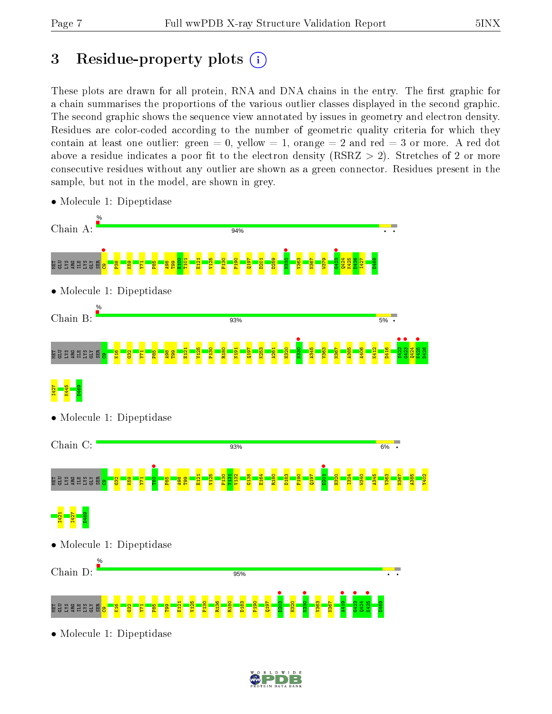# 3 Residue-property plots  $(i)$

These plots are drawn for all protein, RNA and DNA chains in the entry. The first graphic for a chain summarises the proportions of the various outlier classes displayed in the second graphic. The second graphic shows the sequence view annotated by issues in geometry and electron density. Residues are color-coded according to the number of geometric quality criteria for which they contain at least one outlier: green  $= 0$ , yellow  $= 1$ , orange  $= 2$  and red  $= 3$  or more. A red dot above a residue indicates a poor fit to the electron density (RSRZ  $> 2$ ). Stretches of 2 or more consecutive residues without any outlier are shown as a green connector. Residues present in the sample, but not in the model, are shown in grey.



• Molecule 1: Dipeptidase

• Molecule 1: Dipeptidase

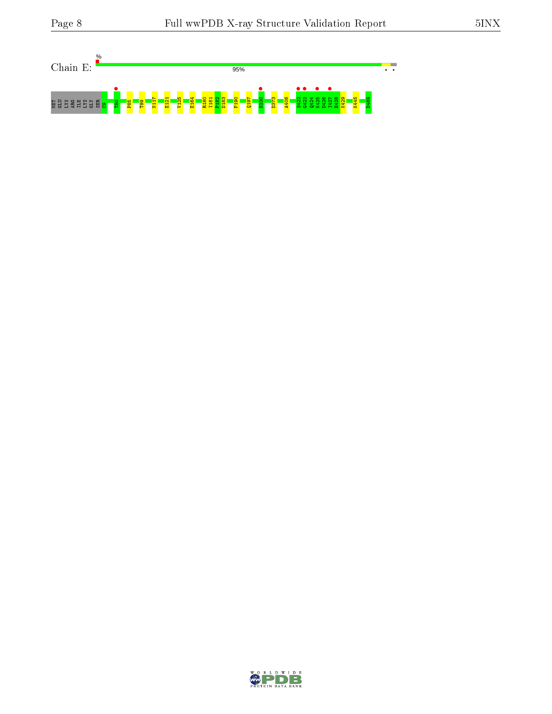

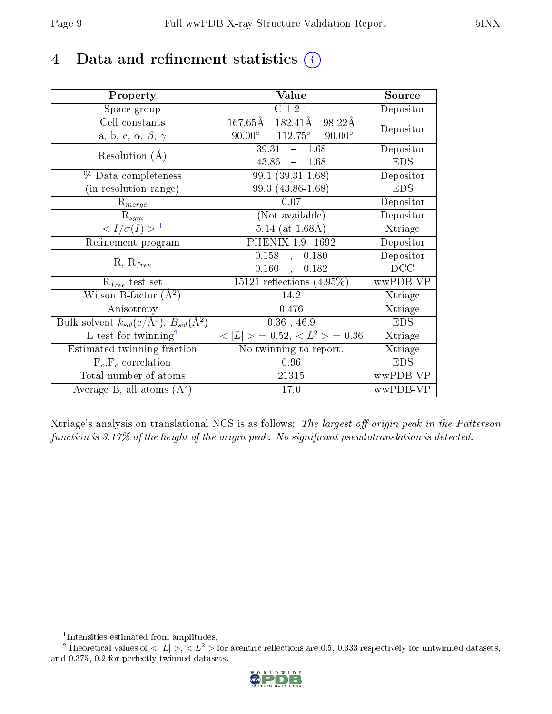# 4 Data and refinement statistics  $(i)$

| Property                                                         | Value                                              | Source     |
|------------------------------------------------------------------|----------------------------------------------------|------------|
| Space group                                                      | C121                                               | Depositor  |
| Cell constants                                                   | $167.65\rm \AA$<br>$182.41\text{\AA}$<br>98.22Å    | Depositor  |
| a, b, c, $\alpha$ , $\beta$ , $\gamma$                           | $112.75^\circ$<br>$90.00^{\circ}$<br>$90.00^\circ$ |            |
| Resolution $(A)$                                                 | $39.31 - 1.68$                                     | Depositor  |
|                                                                  | 43.86<br>$-1.68$                                   | <b>EDS</b> |
| % Data completeness                                              | $99.1(39.31-1.68)$                                 | Depositor  |
| (in resolution range)                                            | 99.3 (43.86-1.68)                                  | <b>EDS</b> |
| $R_{merge}$                                                      | $0.07\,$                                           | Depositor  |
| $\mathrm{R}_{sym}$                                               | (Not available)                                    | Depositor  |
| $\sqrt{I/\sigma}(I) > 1$                                         | $5.14$ (at $1.68$ Å)                               | Xtriage    |
| Refinement program                                               | PHENIX 1.9 1692                                    | Depositor  |
| $R, R_{free}$                                                    | $\overline{0.158}$ ,<br>0.180                      | Depositor  |
|                                                                  | $0.160,$ ,<br>0.182                                | DCC        |
| $\mathcal{R}_{free}$ test set                                    | $\overline{15121}$ reflections $(4.95\%)$          | wwPDB-VP   |
| Wilson B-factor $(A^2)$                                          | 14.2                                               | Xtriage    |
| Anisotropy                                                       | 0.476                                              | Xtriage    |
| Bulk solvent $k_{sol}(\text{e}/\text{A}^3), B_{sol}(\text{A}^2)$ | $0.36$ , 46.9                                      | <b>EDS</b> |
| L-test for $\mathrm{twinning}^2$                                 | $< L >$ = 0.52, $< L^2 >$ = 0.36                   | Xtriage    |
| Estimated twinning fraction                                      | No twinning to report.                             | Xtriage    |
| $\overline{F_o}, \overline{F_c}$ correlation                     | 0.96                                               | <b>EDS</b> |
| Total number of atoms                                            | 21315                                              | wwPDB-VP   |
| Average B, all atoms $(A^2)$                                     | 17.0                                               | wwPDB-VP   |

Xtriage's analysis on translational NCS is as follows: The largest off-origin peak in the Patterson function is  $3.17\%$  of the height of the origin peak. No significant pseudotranslation is detected.

<sup>&</sup>lt;sup>2</sup>Theoretical values of  $\langle |L| \rangle$ ,  $\langle L^2 \rangle$  for acentric reflections are 0.5, 0.333 respectively for untwinned datasets, and 0.375, 0.2 for perfectly twinned datasets.



<span id="page-8-1"></span><span id="page-8-0"></span><sup>1</sup> Intensities estimated from amplitudes.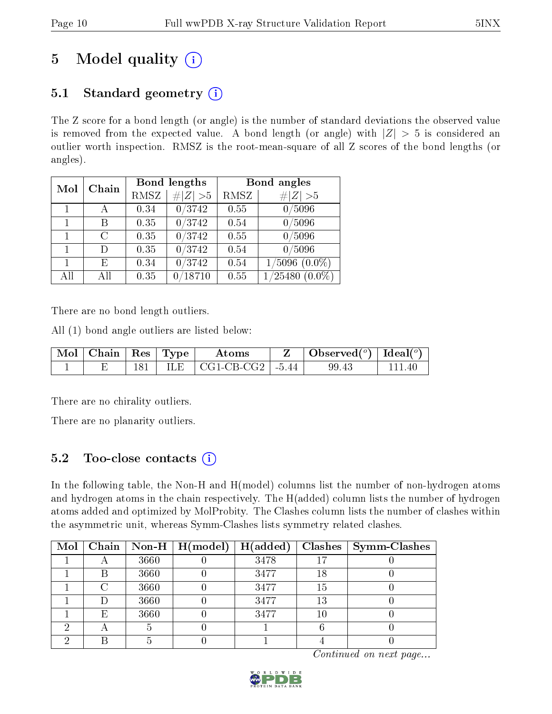# 5 Model quality  $(i)$

# 5.1 Standard geometry  $(i)$

The Z score for a bond length (or angle) is the number of standard deviations the observed value is removed from the expected value. A bond length (or angle) with  $|Z| > 5$  is considered an outlier worth inspection. RMSZ is the root-mean-square of all Z scores of the bond lengths (or angles).

| Mol | Chain |      | Bond lengths        | Bond angles |                      |  |  |
|-----|-------|------|---------------------|-------------|----------------------|--|--|
|     |       | RMSZ | # $ Z  > 5$         | RMSZ        | # $ Z  > 5$          |  |  |
|     |       | 0.34 | 0/3742              | 0.55        | 0/5096               |  |  |
| 1   | В     | 0.35 | 0/3742              | 0.54        | 0/5096               |  |  |
|     | C     | 0.35 | $\overline{0/3742}$ | 0.55        | 0/5096               |  |  |
| 1   | D)    | 0.35 | 0/3742              | 0.54        | 0/5096               |  |  |
| 1   | Е     | 0.34 | 0/3742              | 0.54        | $1/5096$ $(0.0\%)$   |  |  |
| All | АH    | 0.35 | 18710               | 0.55        | 1/25480<br>$(0.0\%)$ |  |  |

There are no bond length outliers.

All (1) bond angle outliers are listed below:

| $\vert$ Mol $\vert$ Chain $\vert$ Res $\vert$ Type $\vert$ |       | Atoms                            | $\bullet$ Observed( $^o$ )   Ideal( $^o$ ) |  |
|------------------------------------------------------------|-------|----------------------------------|--------------------------------------------|--|
|                                                            | ILE - | $\vert$ CG1-CB-CG2 $\vert$ -5.44 | 99.43                                      |  |

There are no chirality outliers.

There are no planarity outliers.

# 5.2 Too-close contacts  $(i)$

In the following table, the Non-H and H(model) columns list the number of non-hydrogen atoms and hydrogen atoms in the chain respectively. The H(added) column lists the number of hydrogen atoms added and optimized by MolProbity. The Clashes column lists the number of clashes within the asymmetric unit, whereas Symm-Clashes lists symmetry related clashes.

| Mol |   |      | $\mid$ Chain $\mid$ Non-H $\mid$ H(model) $\mid$ H(added) |      |    | $Clashes$   Symm-Clashes |
|-----|---|------|-----------------------------------------------------------|------|----|--------------------------|
|     |   | 3660 |                                                           | 3478 |    |                          |
|     | В | 3660 |                                                           | 3477 | 18 |                          |
|     |   | 3660 |                                                           | 3477 | 15 |                          |
|     |   | 3660 |                                                           | 3477 | 13 |                          |
|     | Е | 3660 |                                                           | 3477 | 10 |                          |
|     |   |      |                                                           |      |    |                          |
|     |   |      |                                                           |      |    |                          |

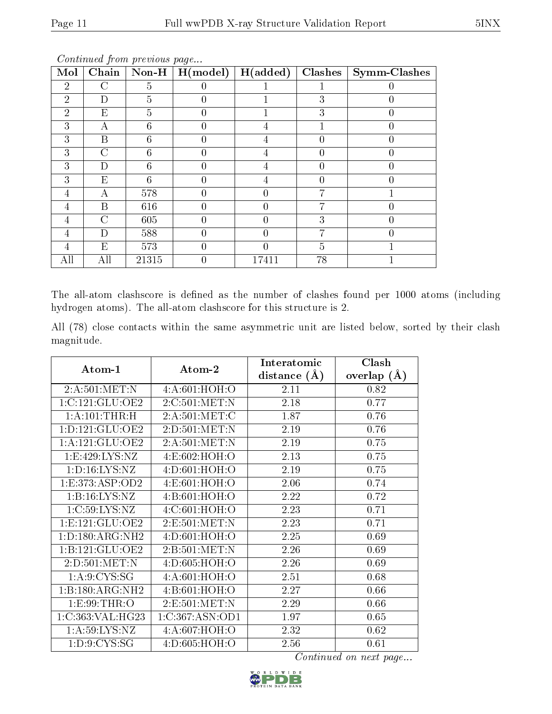| Mol            | Chain          |                | $\textbf{Non-H} \mid \textbf{H} \text{(model)}$ | $\vert$ H(added) | Clashes          | Symm-Clashes |
|----------------|----------------|----------------|-------------------------------------------------|------------------|------------------|--------------|
| $\overline{2}$ | $\mathcal{C}$  | $\overline{5}$ | 0                                               |                  |                  |              |
| $\overline{2}$ | D              | 5              | $\theta$                                        |                  | 3                |              |
| $\overline{2}$ | E              | $\overline{5}$ | $\theta$                                        |                  | 3                | 0            |
| 3              | А              | 6              | 0                                               | 4                |                  |              |
| 3              | B              | 6              | $\theta$                                        | 4                |                  |              |
| 3              | $\rm C$        | 6              | $\left( \right)$                                | 4                |                  |              |
| 3              | D              | 6              | 0                                               | 4                |                  |              |
| 3              | E              | 6              | 0                                               | 4                | $\left( \right)$ |              |
| 4              | А              | 578            | $\theta$                                        | 0                | ٣,               |              |
| 4              | B              | 616            | $\theta$                                        | 0                | 7                | 0            |
| 4              | $\overline{C}$ | 605            | 0                                               |                  | 3                |              |
| 4              | D              | 588            | $\theta$                                        | 0                |                  |              |
| 4              | Ε              | 573            | $\left( \right)$                                |                  | 5                |              |
|                | All            | 21315          | 0                                               | 17411            | 78               |              |

Continued from previous page...

The all-atom clashscore is defined as the number of clashes found per 1000 atoms (including hydrogen atoms). The all-atom clashscore for this structure is 2.

All (78) close contacts within the same asymmetric unit are listed below, sorted by their clash magnitude.

| Atom-1              | Atom-2          | Interatomic      | Clash         |  |
|---------------------|-----------------|------------------|---------------|--|
|                     |                 | distance $(\AA)$ | overlap $(A)$ |  |
| 2:A:501:MET:N       | 4:A:601:HOH:O   | 2.11             | 0.82          |  |
| 1:C:121:GLU:OE2     | 2:C:501:MET:N   | 2.18             | 0.77          |  |
| 1:A:101:THR:H       | 2: A:501: MET:C | 1.87             | 0.76          |  |
| 1: D: 121: GLU: OE2 | 2:D:501:MET:N   | 2.19             | 0.76          |  |
| 1:A:121:GLU:OE2     | 2:A:501:MET:N   | 2.19             | 0.75          |  |
| 1:E:429:LYS:NZ      | 4:E:602:HOH:O   | 2.13             | 0.75          |  |
| 1: D: 16: LYS: NZ   | 4:D:601:HOH:O   | 2.19             | 0.75          |  |
| 1: E: 373: ASP: OD2 | 4: E:601:HOH:O  | 2.06             | 0.74          |  |
| 1:B:16:LYS:NZ       | 4:B:601:HOH:O   | 2.22             | 0.72          |  |
| 1:C:59:LYS:NZ       | 4:C:601:HOH:O   | 2.23             | 0.71          |  |
| 1: E: 121: GLU: OE2 | 2:E:501:MET:N   | 2.23             | 0.71          |  |
| 1:D:180:ARG:NH2     | 4: D:601: HOH:O | 2.25             | 0.69          |  |
| 1:B:121:GLU:OE2     | 2:B:501:MET:N   | 2.26             | 0.69          |  |
| 2:D:501:MET:N       | 4: D:605: HOH:O | 2.26             | 0.69          |  |
| 1: A:9: CYS:SG      | 4:A:601:HOH:O   | 2.51             | 0.68          |  |
| 1:B:180:ARG:NH2     | 4: B:601:HOH:O  | 2.27             | 0.66          |  |
| 1:E:99:THR:O        | 2:E:501:MET:N   | 2.29             | 0.66          |  |
| 1:C:363:VAL:HG23    | 1:C:367:ASN:OD1 | 1.97             | 0.65          |  |
| 1: A:59: LYS: NZ    | 4:A:607:HOH:O   | 2.32             | 0.62          |  |
| 1: D: 9: CYS: SG    | 4:D:605:HOH:O   | 2.56             | 0.61          |  |

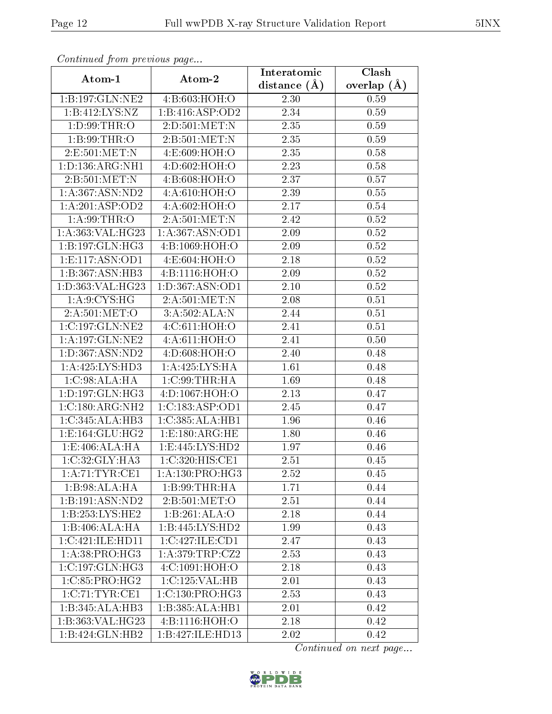| Continued from previous page       |                             | Interatomic    | Clash           |  |
|------------------------------------|-----------------------------|----------------|-----------------|--|
| Atom-1                             | Atom-2                      | distance $(A)$ | overlap $(\AA)$ |  |
| 1:B:197:GLN:NE2                    | 4:B:603:HOH:O               | 2.30           | 0.59            |  |
| 1:B:412:LYS:NZ                     | 1:B:416:ASP:OD2             | 2.34           | 0.59            |  |
| 1: D:99: THR:O                     | 2:D:501:MET:N               | 2.35           | 0.59            |  |
| 1:B:99:THR:O                       | 2:B:501:MET:N               | 2.35           | 0.59            |  |
| 2:E:501:MET:N                      | 4:E:609:HOH:O               | 2.35           | 0.58            |  |
| 1: D: 136: ARG: NH1                | 4:D:602:HOH:O               | 2.23           | 0.58            |  |
| 2:B:501:MET:N                      | 4:B:608:HOH:O               | 2.37           | 0.57            |  |
| 1: A:367: ASN:ND2                  | 4: A:610:HOH:O              | 2.39           | 0.55            |  |
| 1: A:201:ASP:OD2                   | 4:A:602:HOH:O               | 2.17           | 0.54            |  |
| 1: A:99:THR:O                      | 2:A:501:MET:N               | 2.42           | 0.52            |  |
| 1:A:363:VAL:HG23                   | 1:A:367:ASN:OD1             | 2.09           | $0.52\,$        |  |
| 1:B:197:GLN:HG3                    | 4:B:1069:HOH:O              | 2.09           | $0.52\,$        |  |
| 1:E:117:ASN:OD1                    | 4:E:604:HOH:O               | 2.18           | 0.52            |  |
| 1:B:367:ASN:HB3                    | 4:B:1116:HOH:O              | 2.09           | 0.52            |  |
| 1:D:363:VAL:HG23                   | 1:D:367:ASN:OD1             | 2.10           | 0.52            |  |
| 1: A:9: CYS: HG                    | 2:A:501:MET:N               | 2.08           | 0.51            |  |
| 2:A:501:MET:O                      | 3:A:502:ALA:N               | 2.44           | 0.51            |  |
| 1:C:197:GLN:NE2                    | 4:C:611:HOH:O               | 2.41           | 0.51            |  |
| 1:A:197:GLN:NE2                    | 4:A:611:HOH:O               | 2.41           | 0.50            |  |
| 1:D:367:ASN:ND2                    | 4:D:608:HOH:O               | 2.40           | 0.48            |  |
| 1:A:425:LYS:HD3                    | 1:A:425:LYS:HA              | 1.61           | 0.48            |  |
| 1:C:98:ALA:HA                      | 1:C:99:THR:HA               | 1.69           | 0.48            |  |
| $1: D: 197: GLN: \overline{HG3}$   | 4:D:1067:HOH:O              | 2.13           | 0.47            |  |
| 1:C:180:ARG:NH2                    | 1:C:183:ASP:OD1             | 2.45           | 0.47            |  |
| 1:C:345:ALA:HB3                    | 1:C:385:ALA:HB1             | 1.96           | 0.46            |  |
| 1: E: 164: GLU: HG2                | 1:E:180:ARG:HE              | 1.80           | 0.46            |  |
| 1: E:406: ALA: HA                  | 1: E: 445: LYS: HD2         | 1.97           | 0.46            |  |
| $1:C:32:C\overline{\text{LY:HA3}}$ | 1:C:320:HIS:C <sub>E1</sub> | 2.51           | 0.45            |  |
| 1:A:71:TYR:CE1                     | 1: A: 130: PRO:HG3          | 2.52           | 0.45            |  |
| 1:B:98:ALA:HA                      | 1:B:99:THR:HA               | 1.71           | 0.44            |  |
| 1:B:191:ASN:ND2                    | 2: B: 501: MET:O            | 2.51           | 0.44            |  |
| 1:B:253:LYS:HE2                    | 1:B:261:ALA:O               | 2.18           | 0.44            |  |
| 1:B:406:ALA:HA                     | 1:B:445:LYS:HD2             | 1.99           | 0.43            |  |
| 1:C:421:ILE:HD11                   | 1:C:427:ILE:CD1             | 2.47           | 0.43            |  |
| 1: A:38: PRO:HG3                   | 1: A:379:TRP:CZ2            | 2.53           | 0.43            |  |
| 1:C:197:GLN:HG3                    | 4:C:1091:HOH:O              | 2.18           | 0.43            |  |
| 1:C:85:PRO:HG2                     | 1:C:125:VAL:HB              | 2.01           | 0.43            |  |
| 1:C:71:TYR:CE1                     | 1:C:130:PRO:HG3             | 2.53           | 0.43            |  |
| 1:B:345:ALA:HB3                    | 1:B:385:ALA:HB1             | 2.01           | 0.42            |  |
| 1:B:363:VAL:HG23                   | 4:B:1116:HOH:O              | 2.18           | 0.42            |  |
| 1:B:424:GLN:HB2                    | 1:B:427:ILE:HD13            | 2.02           | 0.42            |  |

Continued from previous page.

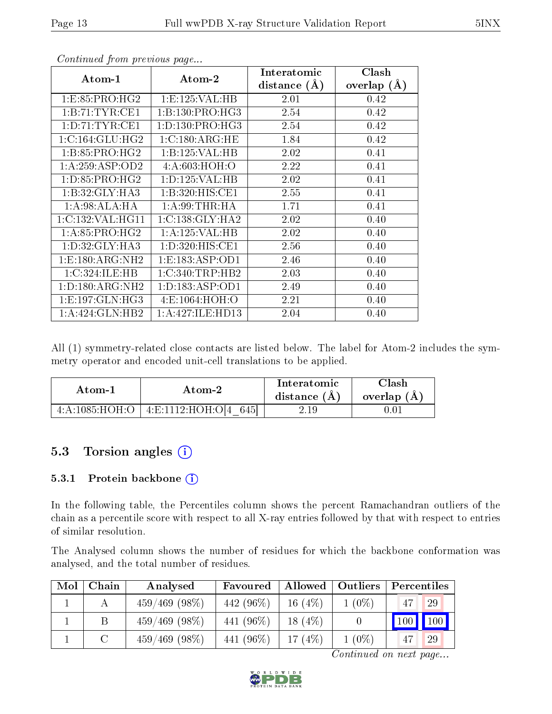|                     |                     | Interatomic    | Clash         |
|---------------------|---------------------|----------------|---------------|
| Atom-1              | Atom-2              | distance $(A)$ | overlap $(A)$ |
| 1: E: 85: PRO: HG2  | 1: E: 125: VAL: HB  | 2.01           | 0.42          |
| 1:B:71:TYR:CE1      | 1: B: 130: PRO: HG3 | 2.54           | 0.42          |
| 1: D: 71: TYR: CE1  | 1: D: 130: PRO:HG3  | 2.54           | 0.42          |
| 1:C:164:GLU:HG2     | 1:C:180:ARG:HE      | 1.84           | 0.42          |
| 1: B: 85: PRO:HG2   | 1:B:125:VAL:HB      | 2.02           | 0.41          |
| 1: A:259: ASP:OD2   | 4: A:603:HOH:O      | 2.22           | 0.41          |
| 1: D: 85: PRO:HG2   | 1: D: 125: VAL: HB  | 2.02           | 0.41          |
| 1:B:32:GLY:HA3      | 1: B:320: HIS: CE1  | 2.55           | 0.41          |
| 1: A:98: ALA: HA    | 1: A:99:THR:HA      | 1.71           | 0.41          |
| 1:C:132:VAL:HG11    | 1:C:138:GLY:HA2     | 2.02           | 0.40          |
| 1: A:85: PRO:HG2    | 1:A:125:VAL:HB      | 2.02           | 0.40          |
| 1: D: 32: GLY: HA3  | 1: D: 320: HIS: CE1 | 2.56           | 0.40          |
| 1:E:180:ARG:NH2     | 1:E:183:ASP:OD1     | 2.46           | 0.40          |
| 1:C:324:ILE:HB      | 1:C:340:TRP:HB2     | 2.03           | 0.40          |
| 1: D: 180: ARG: NH2 | 1: D: 183: ASP: OD1 | 2.49           | 0.40          |
| 1: E: 197: GLN: HG3 | 4: E: 1064: HOH:O   | 2.21           | 0.40          |
| 1:A:424:GLN:HB2     | 1: A:427: ILE: HD13 | 2.04           | 0.40          |

Continued from previous page...

All (1) symmetry-related close contacts are listed below. The label for Atom-2 includes the symmetry operator and encoded unit-cell translations to be applied.

| Atom-1                                                     | Atom-2                    | Interatomic<br>distance $(A)$ | Clash<br>overlap $(A)$ |
|------------------------------------------------------------|---------------------------|-------------------------------|------------------------|
| $4:1085 \cdot H \overline{\bigcirc H} \overline{\bigcirc}$ | $-4:$ E:1112:HOH:C<br>645 | 2.19                          |                        |

# 5.3 Torsion angles (i)

#### 5.3.1 Protein backbone (i)

In the following table, the Percentiles column shows the percent Ramachandran outliers of the chain as a percentile score with respect to all X-ray entries followed by that with respect to entries of similar resolution.

The Analysed column shows the number of residues for which the backbone conformation was analysed, and the total number of residues.

| Mol | Chain | Analysed         | Favoured   | Allowed   | Outliers | Percentiles |                    |
|-----|-------|------------------|------------|-----------|----------|-------------|--------------------|
|     |       | $459/469$ (98\%) | 442 (96\%) | 16 $(4%)$ | $1(0\%)$ | 47          | -29                |
|     |       | $459/469$ (98\%) | 441 (96\%) | 18 $(4%)$ |          | 100         | $\blacksquare$ 100 |
|     |       | $459/469$ (98\%) | 441 (96\%) | 17 $(4%)$ | $1(0\%)$ | 47          | -29                |

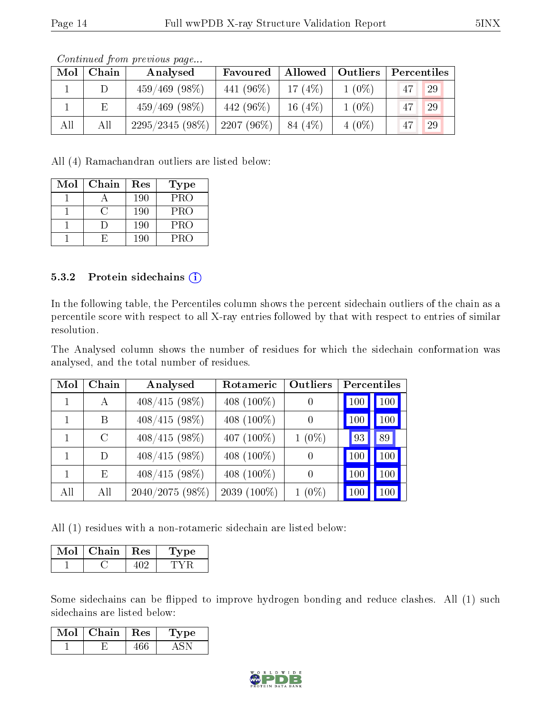|     |       | Contractor pront provided page |               |           |                    |             |    |
|-----|-------|--------------------------------|---------------|-----------|--------------------|-------------|----|
| Mol | Chain | Analysed                       | Favoured      |           | Allowed   Outliers | Percentiles |    |
|     |       | $459/469$ (98\%)               | 441 (96%)     | 17 $(4%)$ | $1(0\%)$           | 47          | 29 |
|     | Е     | $459/469$ (98\%)               | 442 (96\%)    | 16 $(4%)$ | $1(0\%)$           | 47          | 29 |
| All | All   | 2295/2345 (98%)                | 2207 $(96\%)$ | 84 (4\%)  | $4(0\%)$           | 47          | 29 |

Continued from previous page...

All (4) Ramachandran outliers are listed below:

| Mol | Chain | Res | Type       |
|-----|-------|-----|------------|
|     |       | 190 | PRO        |
|     |       | 190 | PRO        |
|     |       | 190 | <b>PRO</b> |
|     |       | 190 | PRO        |

#### 5.3.2 Protein sidechains (i)

In the following table, the Percentiles column shows the percent sidechain outliers of the chain as a percentile score with respect to all X-ray entries followed by that with respect to entries of similar resolution.

The Analysed column shows the number of residues for which the sidechain conformation was analysed, and the total number of residues.

| Mol | Chain         | Analysed        | Rotameric      | <b>Outliers</b>  | Percentiles |
|-----|---------------|-----------------|----------------|------------------|-------------|
|     | А             | $408/415(98\%)$ | 408 $(100\%)$  | $\theta$         | 100<br>100  |
|     | В             | $408/415(98\%)$ | 408 $(100\%)$  | $\left( \right)$ | 100<br>100  |
|     | $\mathcal{C}$ | $408/415(98\%)$ | 407 (100%)     | $1(0\%)$         | 89<br>  93  |
| 1   | D             | $408/415(98\%)$ | 408 (100\%)    | $\overline{0}$   | 100<br>100  |
|     | E             | $408/415(98\%)$ | 408 $(100\%)$  | $\left( \right)$ | 100<br>100  |
| All | All           | 2040/2075 (98%) | 2039 $(100\%)$ | $1(0\%)$         | 100<br>100  |

All (1) residues with a non-rotameric sidechain are listed below:

| Chain | Res | рe<br>ТÀ. |
|-------|-----|-----------|
|       |     |           |

Some sidechains can be flipped to improve hydrogen bonding and reduce clashes. All (1) such sidechains are listed below:

| Mol | Chain $\vert$ Res | 'Type |
|-----|-------------------|-------|
|     |                   |       |

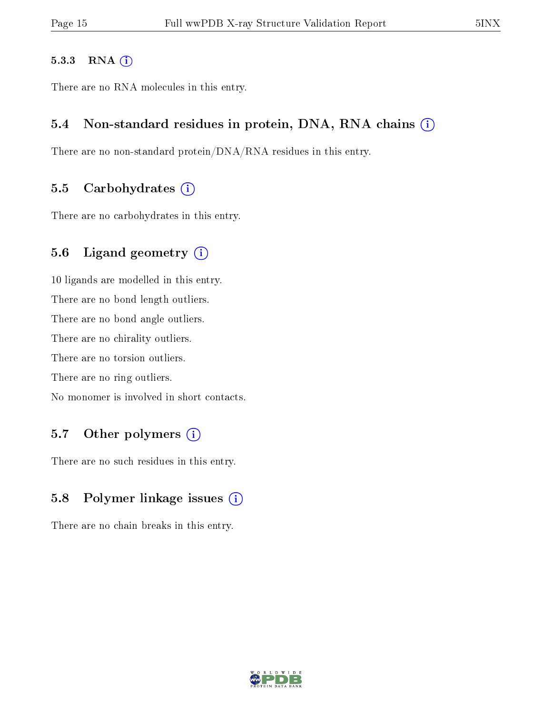#### 5.3.3 RNA (i)

There are no RNA molecules in this entry.

### 5.4 Non-standard residues in protein, DNA, RNA chains  $(i)$

There are no non-standard protein/DNA/RNA residues in this entry.

#### 5.5 Carbohydrates  $(i)$

There are no carbohydrates in this entry.

### 5.6 Ligand geometry (i)

10 ligands are modelled in this entry. There are no bond length outliers. There are no bond angle outliers. There are no chirality outliers. There are no torsion outliers. There are no ring outliers. No monomer is involved in short contacts.

### 5.7 [O](https://www.wwpdb.org/validation/2017/XrayValidationReportHelp#nonstandard_residues_and_ligands)ther polymers (i)

There are no such residues in this entry.

### 5.8 Polymer linkage issues  $(i)$

There are no chain breaks in this entry.

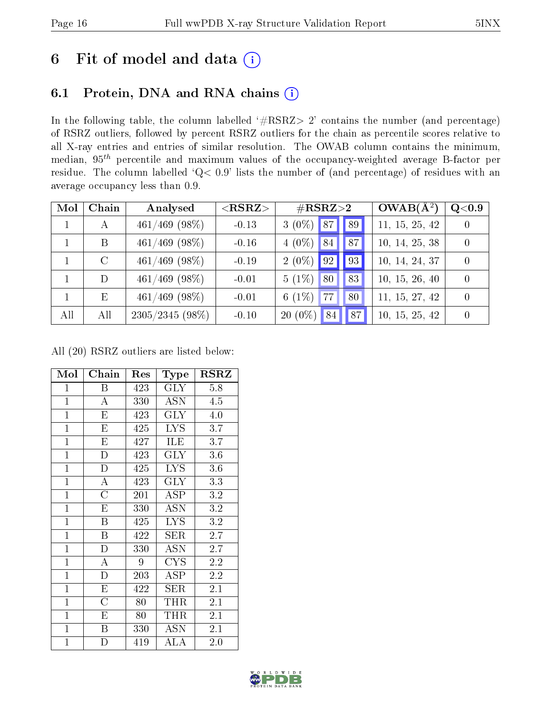# 6 Fit of model and data  $(i)$

# 6.1 Protein, DNA and RNA chains  $(i)$

In the following table, the column labelled  $#RSRZ> 2'$  contains the number (and percentage) of RSRZ outliers, followed by percent RSRZ outliers for the chain as percentile scores relative to all X-ray entries and entries of similar resolution. The OWAB column contains the minimum, median,  $95<sup>th</sup>$  percentile and maximum values of the occupancy-weighted average B-factor per residue. The column labelled ' $Q< 0.9$ ' lists the number of (and percentage) of residues with an average occupancy less than 0.9.

| Mol | Chain         | Analysed          | $<$ RSRZ $>$ | $\#\text{RSRZ}\text{>2}$ | $OWAB(A^2)$    | Q< 0.9   |
|-----|---------------|-------------------|--------------|--------------------------|----------------|----------|
|     | $\mathbf{A}$  | $461/469$ (98\%)  | $-0.13$      | $3(0\%)$ 87 89           | 11, 15, 25, 42 | $\Omega$ |
|     | B             | $461/469$ (98\%)  | $-0.16$      | $4(0\%)$ 84<br>87        | 10, 14, 25, 38 | $\theta$ |
|     | $\mathcal{C}$ | $461/469$ (98\%)  | $-0.19$      | $2(0\%)$ 92<br>93        | 10, 14, 24, 37 | $\Omega$ |
|     | D             | $461/469$ (98%)   | $-0.01$      | $5(1\%)$<br>83<br>80     | 10, 15, 26, 40 | $\Omega$ |
|     | Ε             | $461/469$ (98\%)  | $-0.01$      | $6(1\%)$<br>77<br>80     | 11, 15, 27, 42 | $\Omega$ |
| All | All           | $2305/2345(98\%)$ | $-0.10$      | $20(0\%)$<br>87<br>84    | 10, 15, 25, 42 | $\theta$ |

All (20) RSRZ outliers are listed below:

| Mol            | Chain                   | Res | Type                          | <b>RSRZ</b> |
|----------------|-------------------------|-----|-------------------------------|-------------|
| $\overline{1}$ | B                       | 423 | <b>GLY</b>                    | 5.8         |
| $\mathbf{1}$   | $\overline{A}$          | 330 | <b>ASN</b>                    | 4.5         |
| $\mathbf{1}$   | E                       | 423 | <b>GLY</b>                    | 4.0         |
| $\overline{1}$ | $\overline{\mathrm{E}}$ | 425 | $\overline{I} \overline{Y} S$ | 3.7         |
| $\mathbf{1}$   | E                       | 427 | ILE                           | 3.7         |
| $\mathbf{1}$   | $\overline{\rm D}$      | 423 | <b>GLY</b>                    | 3.6         |
| $\mathbf{1}$   | D                       | 425 | <b>LYS</b>                    | 3.6         |
| $\mathbf{1}$   | $\overline{A}$          | 423 | <b>GLY</b>                    | 3.3         |
| $\mathbf{1}$   | $\overline{\rm C}$      | 201 | <b>ASP</b>                    | 3.2         |
| $\mathbf{1}$   | E                       | 330 | <b>ASN</b>                    | 3.2         |
| $\mathbf{1}$   | B                       | 425 | <b>LYS</b>                    | 3.2         |
| $\mathbf{1}$   | B                       | 422 | SER                           | 2.7         |
| $\mathbf{1}$   | $\overline{D}$          | 330 | <b>ASN</b>                    | 2.7         |
| $\mathbf{1}$   | $\overline{\rm A}$      | 9   | <b>CYS</b>                    | 2.2         |
| $\mathbf{1}$   | $\overline{D}$          | 203 | ASP                           | 2.2         |
| $\overline{1}$ | $\overline{\mathrm{E}}$ | 422 | SER                           | 2.1         |
| $\mathbf{1}$   | $\overline{C}$          | 80  | THR                           | 2.1         |
| $\mathbf{1}$   | E                       | 80  | THR                           | 2.1         |
| $\mathbf{1}$   | B                       | 330 | ASN                           | 2.1         |
| $\mathbf{1}$   | $\overline{D}$          | 419 | ALA                           | 2.0         |